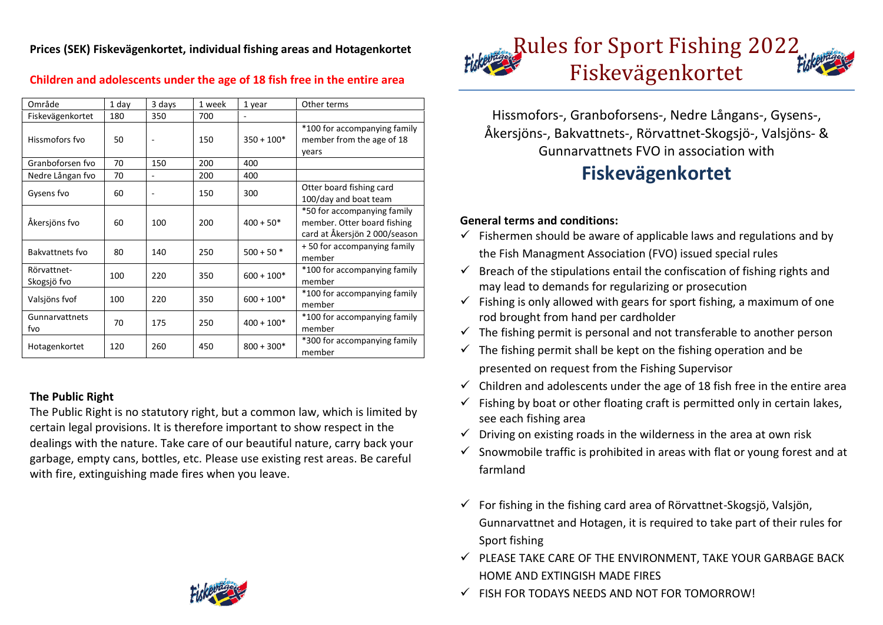**Prices (SEK) Fiskevägenkortet, individual fishing areas and Hotagenkortet**

| Område                     | 1 day | 3 days | 1 week | 1 year       | Other terms                                                                                |
|----------------------------|-------|--------|--------|--------------|--------------------------------------------------------------------------------------------|
| Fiskevägenkortet           | 180   | 350    | 700    | $\sim$       |                                                                                            |
| Hissmofors fvo             | 50    |        | 150    | $350 + 100*$ | *100 for accompanying family<br>member from the age of 18<br>years                         |
| Granboforsen fvo           | 70    | 150    | 200    | 400          |                                                                                            |
| Nedre Långan fvo           | 70    |        | 200    | 400          |                                                                                            |
| Gysens fvo                 | 60    |        | 150    | 300          | Otter board fishing card<br>100/day and boat team                                          |
| Åkersjöns fvo              | 60    | 100    | 200    | $400 + 50*$  | *50 for accompanying family<br>member. Otter board fishing<br>card at Åkersjön 2000/season |
| Bakvattnets fvo            | 80    | 140    | 250    | $500 + 50$ * | +50 for accompanying family<br>member                                                      |
| Rörvattnet-<br>Skogsjö fvo | 100   | 220    | 350    | $600 + 100*$ | *100 for accompanying family<br>member                                                     |
| Valsjöns fvof              | 100   | 220    | 350    | $600 + 100*$ | *100 for accompanying family<br>member                                                     |
| Gunnarvattnets<br>fvo      | 70    | 175    | 250    | $400 + 100*$ | *100 for accompanying family<br>member                                                     |
| Hotagenkortet              | 120   | 260    | 450    | $800 + 300*$ | *300 for accompanying family<br>member                                                     |

# **Children and adolescents under the age of 18 fish free in the entire area**

## **The Public Right**

The Public Right is no statutory right, but a common law, which is limited by certain legal provisions. It is therefore important to show respect in the dealings with the nature. Take care of our beautiful nature, carry back your garbage, empty cans, bottles, etc. Please use existing rest areas. Be careful with fire, extinguishing made fires when you leave.



Hissmofors-, Granboforsens-, Nedre Långans-, Gysens-, Åkersjöns-, Bakvattnets-, Rörvattnet-Skogsjö-, Valsjöns- & Gunnarvattnets FVO in association with

# **Fiskevägenkortet**

## **General terms and conditions:**

- $\checkmark$  Fishermen should be aware of applicable laws and regulations and by the Fish Managment Association (FVO) issued special rules
- $\checkmark$  Breach of the stipulations entail the confiscation of fishing rights and may lead to demands for regularizing or prosecution
- $\checkmark$  Fishing is only allowed with gears for sport fishing, a maximum of one rod brought from hand per cardholder
- $\checkmark$  The fishing permit is personal and not transferable to another person
- $\checkmark$  The fishing permit shall be kept on the fishing operation and be presented on request from the Fishing Supervisor
- $\checkmark$  Children and adolescents under the age of 18 fish free in the entire area
- $\checkmark$  Fishing by boat or other floating craft is permitted only in certain lakes, see each fishing area
- $\checkmark$  Driving on existing roads in the wilderness in the area at own risk
- $\checkmark$  Snowmobile traffic is prohibited in areas with flat or young forest and at farmland
- $\checkmark$  For fishing in the fishing card area of Rörvattnet-Skogsjö, Valsjön, Gunnarvattnet and Hotagen, it is required to take part of their rules for Sport fishing
- $\checkmark$  PLEASE TAKE CARE OF THE ENVIRONMENT, TAKE YOUR GARBAGE BACK HOME AND EXTINGISH MADE FIRES
- $\checkmark$  FISH FOR TODAYS NEEDS AND NOT FOR TOMORROWL